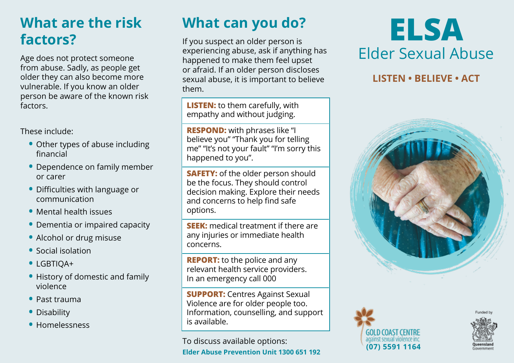## **What are the risk factors?**

Age does not protect someone from abuse. Sadly, as people get older they can also become more vulnerable. If you know an older person be aware of the known risk factors.

These include:

- **•** Other types of abuse including financial
- **•** Dependence on family member or carer
- **•** Difficulties with language or communication
- **•** Mental health issues
- **•** Dementia or impaired capacity
- **•** Alcohol or drug misuse
- **•** Social isolation
- **•** LGBTIQA+
- **•** History of domestic and family violence
- **•** Past trauma
- **•** Disability
- **•** Homelessness

# **What can you do?**

If you suspect an older person is experiencing abuse, ask if anything has happened to make them feel upset or afraid. If an older person discloses sexual abuse, it is important to believe them.

**LISTEN:** to them carefully, with empathy and without judging.

**RESPOND:** with phrases like "I believe you" "Thank you for telling me" "It's not your fault" "I'm sorry this happened to you".

**SAFETY:** of the older person should be the focus. They should control decision making. Explore their needs and concerns to help find safe options.

**SEEK:** medical treatment if there are any injuries or immediate health concerns.

**REPORT:** to the police and any relevant health service providers. In an emergency call 000

**SUPPORT:** Centres Against Sexual Violence are for older people too. Information, counselling, and support is available.

To discuss available options: **Elder Abuse Prevention Unit 1300 651 192**

# **ELSA** Elder Sexual Abuse

#### **LISTEN • BELIEVE • ACT**